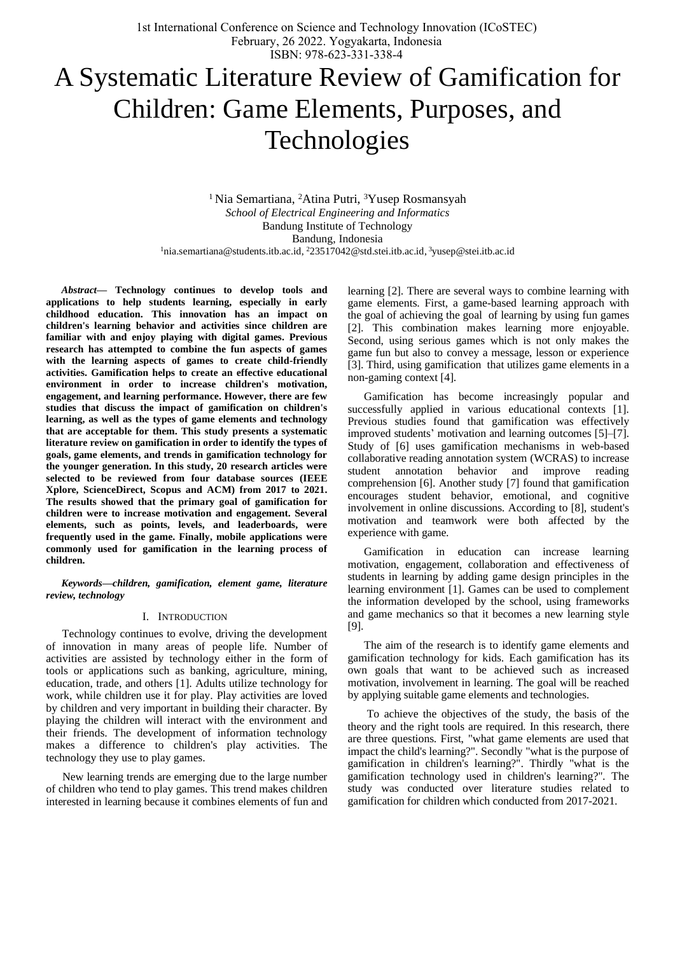# A Systematic Literature Review of Gamification for Children: Game Elements, Purposes, and Technologies

<sup>1</sup> Nia Semartiana, <sup>2</sup>Atina Putri, <sup>3</sup>Yusep Rosmansyah *School of Electrical Engineering and Informatics* Bandung Institute of Technology Bandung, Indonesia <sup>1</sup>nia.semartiana@students.itb.ac.id, <sup>2</sup>23517042@std.stei.itb.ac.id, <sup>3</sup>yusep@stei.itb.ac.id

*Abstract***— Technology continues to develop tools and applications to help students learning, especially in early childhood education. This innovation has an impact on children's learning behavior and activities since children are familiar with and enjoy playing with digital games. Previous research has attempted to combine the fun aspects of games with the learning aspects of games to create child-friendly activities. Gamification helps to create an effective educational environment in order to increase children's motivation, engagement, and learning performance. However, there are few studies that discuss the impact of gamification on children's learning, as well as the types of game elements and technology that are acceptable for them. This study presents a systematic literature review on gamification in order to identify the types of goals, game elements, and trends in gamification technology for the younger generation. In this study, 20 research articles were selected to be reviewed from four database sources (IEEE Xplore, ScienceDirect, Scopus and ACM) from 2017 to 2021. The results showed that the primary goal of gamification for children were to increase motivation and engagement. Several elements, such as points, levels, and leaderboards, were frequently used in the game. Finally, mobile applications were commonly used for gamification in the learning process of children.**

*Keywords—children, gamification, element game, literature review, technology*

#### I. INTRODUCTION

Technology continues to evolve, driving the development of innovation in many areas of people life. Number of activities are assisted by technology either in the form of tools or applications such as banking, agriculture, mining, education, trade, and others [1]. Adults utilize technology for work, while children use it for play. Play activities are loved by children and very important in building their character. By playing the children will interact with the environment and their friends. The development of information technology makes a difference to children's play activities. The technology they use to play games.

New learning trends are emerging due to the large number of children who tend to play games. This trend makes children interested in learning because it combines elements of fun and learning [2]. There are several ways to combine learning with game elements. First, a game-based learning approach with the goal of achieving the goal of learning by using fun games [2]. This combination makes learning more enjoyable. Second, using serious games which is not only makes the game fun but also to convey a message, lesson or experience [3]. Third, using gamification that utilizes game elements in a non-gaming context [4].

Gamification has become increasingly popular and successfully applied in various educational contexts [1]. Previous studies found that gamification was effectively improved students' motivation and learning outcomes [5]–[7]. Study of [6] uses gamification mechanisms in web-based collaborative reading annotation system (WCRAS) to increase student annotation behavior and improve reading comprehension [6]. Another study [7] found that gamification encourages student behavior, emotional, and cognitive involvement in online discussions. According to [8], student's motivation and teamwork were both affected by the experience with game.

Gamification in education can increase learning motivation, engagement, collaboration and effectiveness of students in learning by adding game design principles in the learning environment [1]. Games can be used to complement the information developed by the school, using frameworks and game mechanics so that it becomes a new learning style [9].

The aim of the research is to identify game elements and gamification technology for kids. Each gamification has its own goals that want to be achieved such as increased motivation, involvement in learning. The goal will be reached by applying suitable game elements and technologies.

To achieve the objectives of the study, the basis of the theory and the right tools are required. In this research, there are three questions. First, "what game elements are used that impact the child's learning?". Secondly "what is the purpose of gamification in children's learning?". Thirdly "what is the gamification technology used in children's learning?". The study was conducted over literature studies related to gamification for children which conducted from 2017-2021.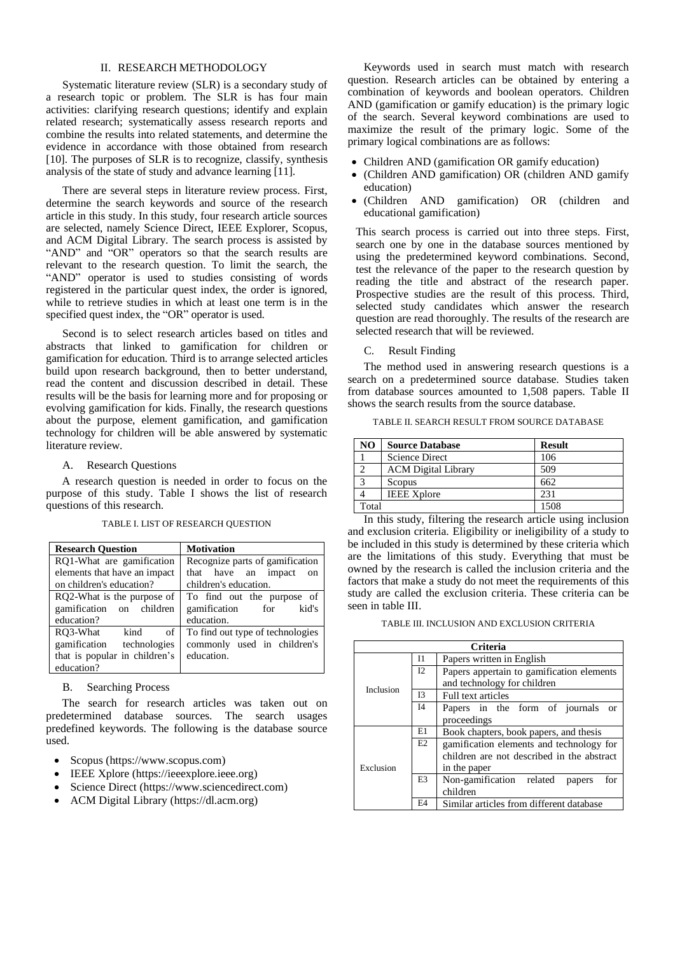## II. RESEARCH METHODOLOGY

Systematic literature review (SLR) is a secondary study of a research topic or problem. The SLR is has four main activities: clarifying research questions; identify and explain related research; systematically assess research reports and combine the results into related statements, and determine the evidence in accordance with those obtained from research [10]. The purposes of SLR is to recognize, classify, synthesis analysis of the state of study and advance learning [11].

There are several steps in literature review process. First, determine the search keywords and source of the research article in this study. In this study, four research article sources are selected, namely Science Direct, IEEE Explorer, Scopus, and ACM Digital Library. The search process is assisted by "AND" and "OR" operators so that the search results are relevant to the research question. To limit the search, the "AND" operator is used to studies consisting of words registered in the particular quest index, the order is ignored, while to retrieve studies in which at least one term is in the specified quest index, the "OR" operator is used.

Second is to select research articles based on titles and abstracts that linked to gamification for children or gamification for education. Third is to arrange selected articles build upon research background, then to better understand, read the content and discussion described in detail. These results will be the basis for learning more and for proposing or evolving gamification for kids. Finally, the research questions about the purpose, element gamification, and gamification technology for children will be able answered by systematic literature review.

## A. Research Questions

A research question is needed in order to focus on the purpose of this study. Table I shows the list of research questions of this research.

TABLE I. LIST OF RESEARCH QUESTION

| <b>Research Question</b>       | <b>Motivation</b>                |
|--------------------------------|----------------------------------|
| RQ1-What are gamification      | Recognize parts of gamification  |
| elements that have an impact   | that have an impact<br>on        |
| on children's education?       | children's education.            |
| RQ2-What is the purpose of     | To find out the purpose of       |
| gamification<br>children<br>on | gamification<br>kid's<br>for     |
| education?                     | education.                       |
| RO3-What<br>kind<br>of         | To find out type of technologies |
| gamification<br>technologies   | commonly used in children's      |
| that is popular in children's  | education.                       |
| education?                     |                                  |

B. Searching Process

The search for research articles was taken out on predetermined database sources. The search usages predefined keywords. The following is the database source used.

- Scopus [\(https://www.scopus.com\)](https://www.scopus.com/)
- IEEE Xplore [\(https://ieeexplore.ieee.org\)](https://ieeexplore.ieee.org/)
- Science Direct [\(https://www.sciencedirect.com\)](https://www.sciencedirect.com/)
- ACM Digital Library [\(https://dl.acm.org\)](https://dl.acm.org/)

Keywords used in search must match with research question. Research articles can be obtained by entering a combination of keywords and boolean operators. Children AND (gamification or gamify education) is the primary logic of the search. Several keyword combinations are used to maximize the result of the primary logic. Some of the primary logical combinations are as follows:

- Children AND (gamification OR gamify education)
- (Children AND gamification) OR (children AND gamify education)
- (Children AND gamification) OR (children and educational gamification)

This search process is carried out into three steps. First, search one by one in the database sources mentioned by using the predetermined keyword combinations. Second, test the relevance of the paper to the research question by reading the title and abstract of the research paper. Prospective studies are the result of this process. Third, selected study candidates which answer the research question are read thoroughly. The results of the research are selected research that will be reviewed.

C. Result Finding

The method used in answering research questions is a search on a predetermined source database. Studies taken from database sources amounted to 1,508 papers. Table II shows the search results from the source database.

TABLE II. SEARCH RESULT FROM SOURCE DATABASE

| N <sub>O</sub> | <b>Source Database</b>     | <b>Result</b> |
|----------------|----------------------------|---------------|
|                | <b>Science Direct</b>      | 106           |
|                | <b>ACM</b> Digital Library | 509           |
| 3              | Scopus                     | 662           |
|                | <b>IEEE Xplore</b>         | 231           |
| Total          |                            | 1508          |

In this study, filtering the research article using inclusion and exclusion criteria. Eligibility or ineligibility of a study to be included in this study is determined by these criteria which are the limitations of this study. Everything that must be owned by the research is called the inclusion criteria and the factors that make a study do not meet the requirements of this study are called the exclusion criteria. These criteria can be seen in table III.

TABLE III. INCLUSION AND EXCLUSION CRITERIA

|             |                | Criteria                                    |  |
|-------------|----------------|---------------------------------------------|--|
|             | $_{11}$        | Papers written in English                   |  |
|             | I2             | Papers appertain to gamification elements   |  |
| Inclusion   |                | and technology for children                 |  |
|             | I3             | Full text articles                          |  |
|             | <b>I4</b>      | Papers in the form of journals<br><b>or</b> |  |
| proceedings |                |                                             |  |
|             | E1             | Book chapters, book papers, and thesis      |  |
|             | E2             | gamification elements and technology for    |  |
|             |                | children are not described in the abstract  |  |
| Exclusion   |                | in the paper                                |  |
|             | E <sub>3</sub> | Non-gamification related<br>for<br>papers   |  |
|             |                | children                                    |  |
|             | F4             | Similar articles from different database    |  |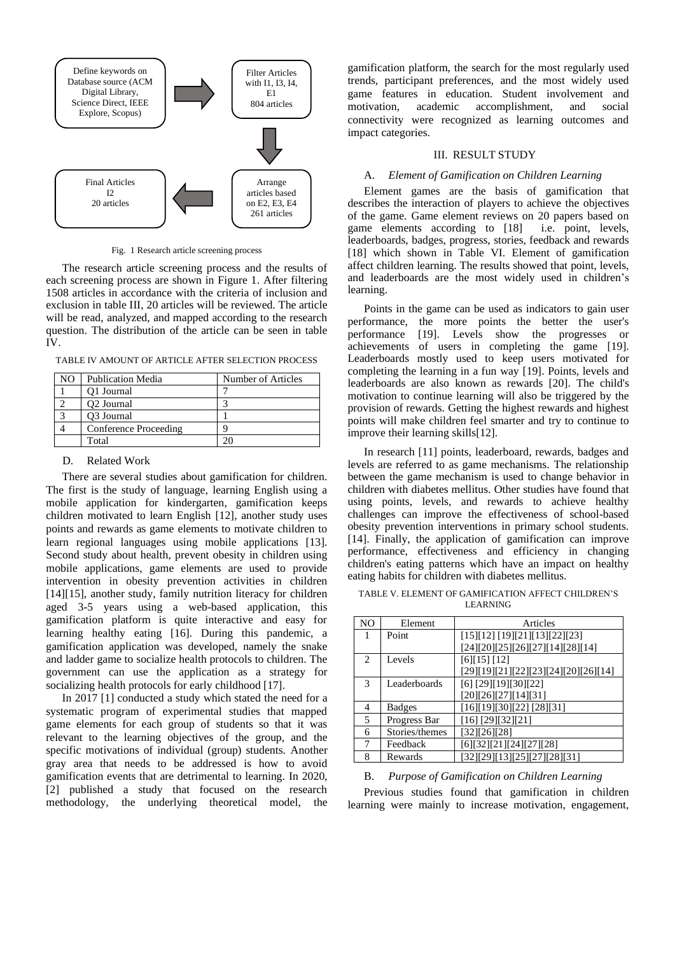

Fig. 1 Research article screening process

The research article screening process and the results of each screening process are shown in Figure 1. After filtering 1508 articles in accordance with the criteria of inclusion and exclusion in table III, 20 articles will be reviewed. The article will be read, analyzed, and mapped according to the research question. The distribution of the article can be seen in table IV.

TABLE IV AMOUNT OF ARTICLE AFTER SELECTION PROCESS

| NO. | <b>Publication Media</b> | Number of Articles |
|-----|--------------------------|--------------------|
|     | O1 Journal               |                    |
|     | O <sub>2</sub> Journal   |                    |
|     | O <sub>3</sub> Journal   |                    |
|     | Conference Proceeding    |                    |
|     | Total                    |                    |

#### D. Related Work

There are several studies about gamification for children. The first is the study of language, learning English using a mobile application for kindergarten, gamification keeps children motivated to learn English [12], another study uses points and rewards as game elements to motivate children to learn regional languages using mobile applications [13]. Second study about health, prevent obesity in children using mobile applications, game elements are used to provide intervention in obesity prevention activities in children [14][15], another study, family nutrition literacy for children aged 3-5 years using a web-based application, this gamification platform is quite interactive and easy for learning healthy eating [16]. During this pandemic, a gamification application was developed, namely the snake and ladder game to socialize health protocols to children. The government can use the application as a strategy for socializing health protocols for early childhood [17].

In 2017 [1] conducted a study which stated the need for a systematic program of experimental studies that mapped game elements for each group of students so that it was relevant to the learning objectives of the group, and the specific motivations of individual (group) students. Another gray area that needs to be addressed is how to avoid gamification events that are detrimental to learning. In 2020, [2] published a study that focused on the research methodology, the underlying theoretical model, the

gamification platform, the search for the most regularly used trends, participant preferences, and the most widely used game features in education. Student involvement and motivation, academic accomplishment, and social connectivity were recognized as learning outcomes and impact categories.

## III. RESULT STUDY

### A. *Element of Gamification on Children Learning*

Element games are the basis of gamification that describes the interaction of players to achieve the objectives of the game. Game element reviews on 20 papers based on game elements according to [18] i.e. point, levels, leaderboards, badges, progress, stories, feedback and rewards [18] which shown in Table VI. Element of gamification affect children learning. The results showed that point, levels, and leaderboards are the most widely used in children's learning.

Points in the game can be used as indicators to gain user performance, the more points the better the user's performance [19]. Levels show the progresses or achievements of users in completing the game [19]. Leaderboards mostly used to keep users motivated for completing the learning in a fun way [19]. Points, levels and leaderboards are also known as rewards [20]. The child's motivation to continue learning will also be triggered by the provision of rewards. Getting the highest rewards and highest points will make children feel smarter and try to continue to improve their learning skills[12].

In research [11] points, leaderboard, rewards, badges and levels are referred to as game mechanisms. The relationship between the game mechanism is used to change behavior in children with diabetes mellitus. Other studies have found that using points, levels, and rewards to achieve healthy challenges can improve the effectiveness of school-based obesity prevention interventions in primary school students. [14]. Finally, the application of gamification can improve performance, effectiveness and efficiency in changing children's eating patterns which have an impact on healthy eating habits for children with diabetes mellitus.

TABLE V. ELEMENT OF GAMIFICATION AFFECT CHILDREN'S LEARNING

| NO | Element        | Articles                             |
|----|----------------|--------------------------------------|
| 1  | Point          | [15][12] [19][21][13][22][23]        |
|    |                | [24][20][25][26][27][14][28][14]     |
| 2  | Levels         | [6][15][12]                          |
|    |                | [29][19][21][22][23][24][20][26][14] |
| 3  | Leaderboards   | $[6]$ [29][19][30][22]               |
|    |                | [20][26][27][14][31]                 |
| 4  | <b>Badges</b>  | [16][19][30][22] [28][31]            |
| 5  | Progress Bar   | $[16]$ [29][32][21]                  |
| 6  | Stories/themes | [32][26][28]                         |
| 7  | Feedback       | [6][32][21][24][27][28]              |
| 8  | Rewards        | [32][29][13][25][27][28][31]         |

#### B. *Purpose of Gamification on Children Learning*

Previous studies found that gamification in children learning were mainly to increase motivation, engagement,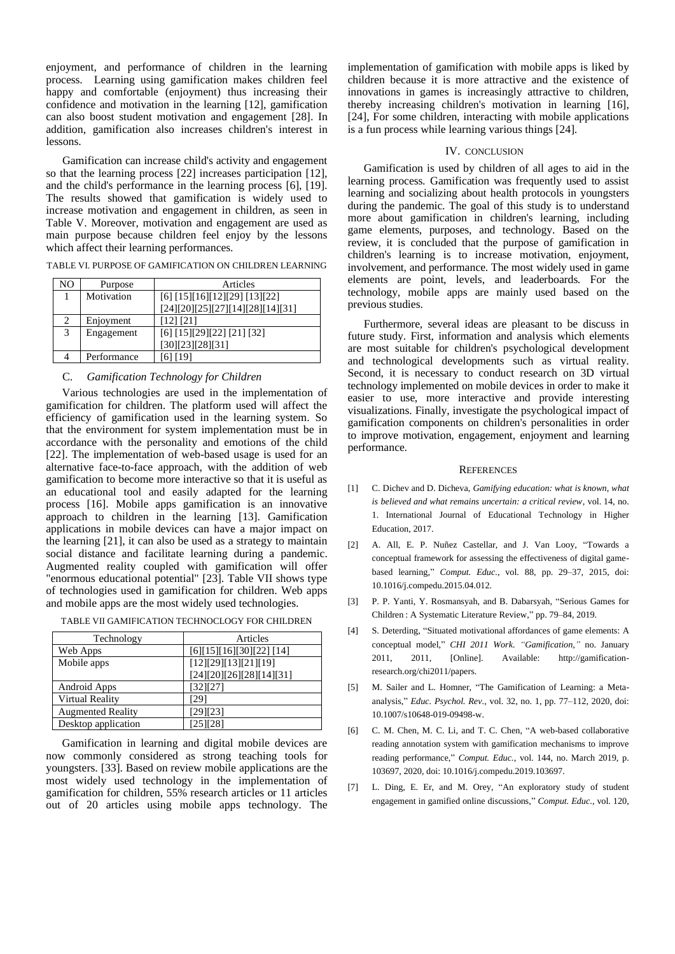enjoyment, and performance of children in the learning process. Learning using gamification makes children feel happy and comfortable (enjoyment) thus increasing their confidence and motivation in the learning [12], gamification can also boost student motivation and engagement [28]. In addition, gamification also increases children's interest in lessons.

Gamification can increase child's activity and engagement so that the learning process [22] increases participation [12], and the child's performance in the learning process [6], [19]. The results showed that gamification is widely used to increase motivation and engagement in children, as seen in Table V. Moreover, motivation and engagement are used as main purpose because children feel enjoy by the lessons which affect their learning performances.

| NO            | Purpose    | Articles                         |
|---------------|------------|----------------------------------|
|               | Motivation | [6] [15][16][12][29] [13][22]    |
|               |            | [24][20][25][27][14][28][14][31] |
| $\mathcal{D}$ | Enjoyment  | [12] [21]                        |
| 3             | Engagement | [6] [15][29][22] [21] [32]       |
|               |            | [30][23][28][31]                 |

TABLE VI. PURPOSE OF GAMIFICATION ON CHILDREN LEARNING

### C. *Gamification Technology for Children*

4 **Performance** [6] [19]

Various technologies are used in the implementation of gamification for children. The platform used will affect the efficiency of gamification used in the learning system. So that the environment for system implementation must be in accordance with the personality and emotions of the child [22]. The implementation of web-based usage is used for an alternative face-to-face approach, with the addition of web gamification to become more interactive so that it is useful as an educational tool and easily adapted for the learning process [16]. Mobile apps gamification is an innovative approach to children in the learning [13]. Gamification applications in mobile devices can have a major impact on the learning [21], it can also be used as a strategy to maintain social distance and facilitate learning during a pandemic. Augmented reality coupled with gamification will offer "enormous educational potential" [23]. Table VII shows type of technologies used in gamification for children. Web apps and mobile apps are the most widely used technologies.

|                          | Articles                 |
|--------------------------|--------------------------|
| Technology               |                          |
| Web Apps                 | [6][15][16][30][22][14]  |
| Mobile apps              | [12][29][13][21][19]     |
|                          | [24][20][26][28][14][31] |
| Android Apps             | [32][27]                 |
| Virtual Reality          | [29]                     |
| <b>Augmented Reality</b> | [29][23]                 |
| Desktop application      | [25][28]                 |

TABLE VII GAMIFICATION TECHNOCLOGY FOR CHILDREN

Gamification in learning and digital mobile devices are now commonly considered as strong teaching tools for youngsters. [33]. Based on review mobile applications are the most widely used technology in the implementation of gamification for children, 55% research articles or 11 articles out of 20 articles using mobile apps technology. The implementation of gamification with mobile apps is liked by children because it is more attractive and the existence of innovations in games is increasingly attractive to children, thereby increasing children's motivation in learning [16], [24], For some children, interacting with mobile applications is a fun process while learning various things [24].

#### IV. CONCLUSION

Gamification is used by children of all ages to aid in the learning process. Gamification was frequently used to assist learning and socializing about health protocols in youngsters during the pandemic. The goal of this study is to understand more about gamification in children's learning, including game elements, purposes, and technology. Based on the review, it is concluded that the purpose of gamification in children's learning is to increase motivation, enjoyment, involvement, and performance. The most widely used in game elements are point, levels, and leaderboards. For the technology, mobile apps are mainly used based on the previous studies.

Furthermore, several ideas are pleasant to be discuss in future study. First, information and analysis which elements are most suitable for children's psychological development and technological developments such as virtual reality. Second, it is necessary to conduct research on 3D virtual technology implemented on mobile devices in order to make it easier to use, more interactive and provide interesting visualizations. Finally, investigate the psychological impact of gamification components on children's personalities in order to improve motivation, engagement, enjoyment and learning performance.

#### **REFERENCES**

- [1] C. Dichev and D. Dicheva, *Gamifying education: what is known, what is believed and what remains uncertain: a critical review*, vol. 14, no. 1. International Journal of Educational Technology in Higher Education, 2017.
- [2] A. All, E. P. Nuñez Castellar, and J. Van Looy, "Towards a conceptual framework for assessing the effectiveness of digital gamebased learning," *Comput. Educ.*, vol. 88, pp. 29–37, 2015, doi: 10.1016/j.compedu.2015.04.012.
- [3] P. P. Yanti, Y. Rosmansyah, and B. Dabarsyah, "Serious Games for Children : A Systematic Literature Review," pp. 79–84, 2019.
- [4] S. Deterding, "Situated motivational affordances of game elements: A conceptual model," *CHI 2011 Work. "Gamification,"* no. January 2011, 2011, [Online]. Available: http://gamificationresearch.org/chi2011/papers.
- [5] M. Sailer and L. Homner, "The Gamification of Learning: a Metaanalysis," *Educ. Psychol. Rev.*, vol. 32, no. 1, pp. 77–112, 2020, doi: 10.1007/s10648-019-09498-w.
- [6] C. M. Chen, M. C. Li, and T. C. Chen, "A web-based collaborative reading annotation system with gamification mechanisms to improve reading performance," *Comput. Educ.*, vol. 144, no. March 2019, p. 103697, 2020, doi: 10.1016/j.compedu.2019.103697.
- [7] L. Ding, E. Er, and M. Orey, "An exploratory study of student engagement in gamified online discussions," *Comput. Educ.*, vol. 120,